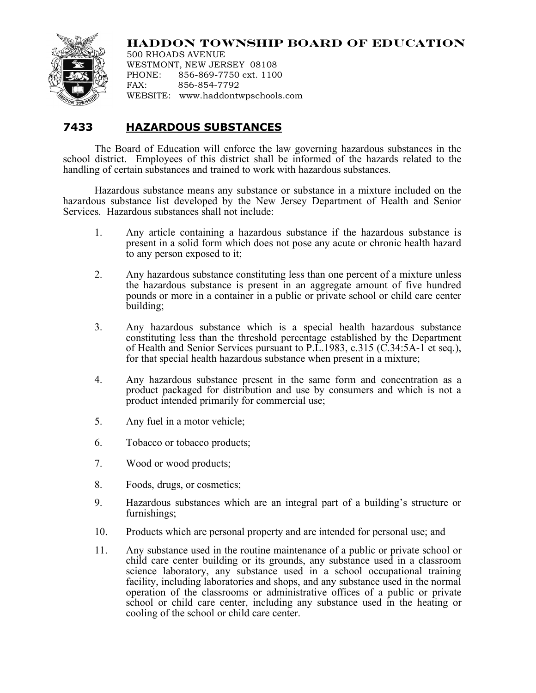

## **HADDON TOWNSHIP BOARD OF EDUCATION**

500 RHOADS AVENUE WESTMONT, NEW JERSEY 08108 PHONE: 856-869-7750 ext. 1100 FAX: 856-854-7792 WEBSITE: www.haddontwpschools.com

## **7433 HAZARDOUS SUBSTANCES**

The Board of Education will enforce the law governing hazardous substances in the school district. Employees of this district shall be informed of the hazards related to the handling of certain substances and trained to work with hazardous substances.

Hazardous substance means any substance or substance in a mixture included on the hazardous substance list developed by the New Jersey Department of Health and Senior Services. Hazardous substances shall not include:

- 1. Any article containing a hazardous substance if the hazardous substance is present in a solid form which does not pose any acute or chronic health hazard to any person exposed to it;
- 2. Any hazardous substance constituting less than one percent of a mixture unless the hazardous substance is present in an aggregate amount of five hundred pounds or more in a container in a public or private school or child care center building;
- 3. Any hazardous substance which is a special health hazardous substance constituting less than the threshold percentage established by the Department of Health and Senior Services pursuant to P.L.1983, c.315 (C.34:5A-1 et seq.), for that special health hazardous substance when present in a mixture;
- 4. Any hazardous substance present in the same form and concentration as a product packaged for distribution and use by consumers and which is not a product intended primarily for commercial use;
- 5. Any fuel in a motor vehicle;
- 6. Tobacco or tobacco products;
- 7. Wood or wood products;
- 8. Foods, drugs, or cosmetics;
- 9. Hazardous substances which are an integral part of a building's structure or furnishings;
- 10. Products which are personal property and are intended for personal use; and
- 11. Any substance used in the routine maintenance of a public or private school or child care center building or its grounds, any substance used in a classroom science laboratory, any substance used in a school occupational training facility, including laboratories and shops, and any substance used in the normal operation of the classrooms or administrative offices of a public or private school or child care center, including any substance used in the heating or cooling of the school or child care center.